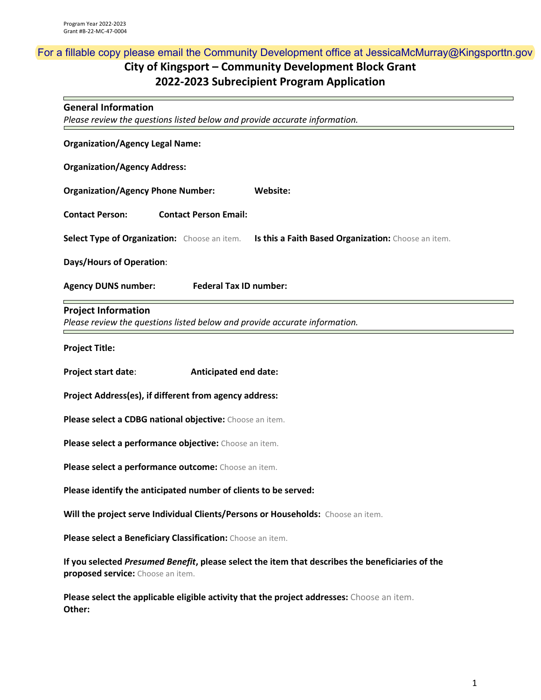# **City of Kingsport – Community Development Block Grant 2022-2023 Subrecipient Program Application**  For a fillable copy please email the Community Development office at JessicaMcMurray@Kingsporttn.gov

#### **General Information**

*Please review the questions listed below and provide accurate information.*

| <b>Organization/Agency Legal Name:</b>                                                                   |  |  |
|----------------------------------------------------------------------------------------------------------|--|--|
| <b>Organization/Agency Address:</b>                                                                      |  |  |
| <b>Organization/Agency Phone Number:</b><br>Website:                                                     |  |  |
| <b>Contact Person Email:</b><br><b>Contact Person:</b>                                                   |  |  |
| Select Type of Organization: Choose an item.<br>Is this a Faith Based Organization: Choose an item.      |  |  |
| <b>Days/Hours of Operation:</b>                                                                          |  |  |
| <b>Federal Tax ID number:</b><br><b>Agency DUNS number:</b>                                              |  |  |
| <b>Project Information</b><br>Please review the questions listed below and provide accurate information. |  |  |
| <b>Project Title:</b>                                                                                    |  |  |
| Project start date:<br><b>Anticipated end date:</b>                                                      |  |  |
| Project Address(es), if different from agency address:                                                   |  |  |
| Please select a CDBG national objective: Choose an item.                                                 |  |  |

**Please select a performance objective:** Choose an item.

**Please select a performance outcome:** Choose an item.

**Please identify the anticipated number of clients to be served:**

**Will the project serve Individual Clients/Persons or Households:** Choose an item.

**Please select a Beneficiary Classification:** Choose an item.

**If you selected** *Presumed Benefit***, please select the item that describes the beneficiaries of the proposed service:** Choose an item.

**Please select the applicable eligible activity that the project addresses:** Choose an item. **Other:**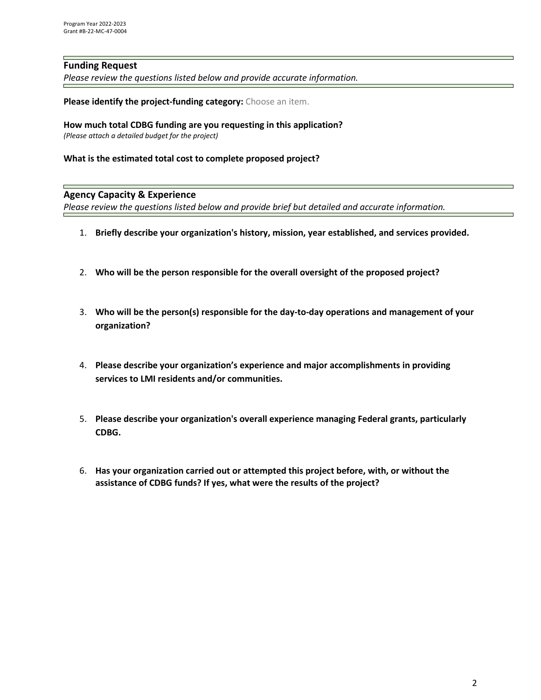## **Funding Request**

*Please review the questions listed below and provide accurate information.*

**Please identify the project-funding category:** Choose an item.

#### **How much total CDBG funding are you requesting in this application?**

*(Please attach a detailed budget for the project)*

#### **What is the estimated total cost to complete proposed project?**

#### **Agency Capacity & Experience**

*Please review the questions listed below and provide brief but detailed and accurate information.*

- 1. **Briefly describe your organization's history, mission, year established, and services provided.**
- 2. **Who will be the person responsible for the overall oversight of the proposed project?**
- 3. **Who will be the person(s) responsible for the day-to-day operations and management of your organization?**
- 4. **Please describe your organization's experience and major accomplishments in providing services to LMI residents and/or communities.**
- 5. **Please describe your organization's overall experience managing Federal grants, particularly CDBG.**
- 6. **Has your organization carried out or attempted this project before, with, or without the assistance of CDBG funds? If yes, what were the results of the project?**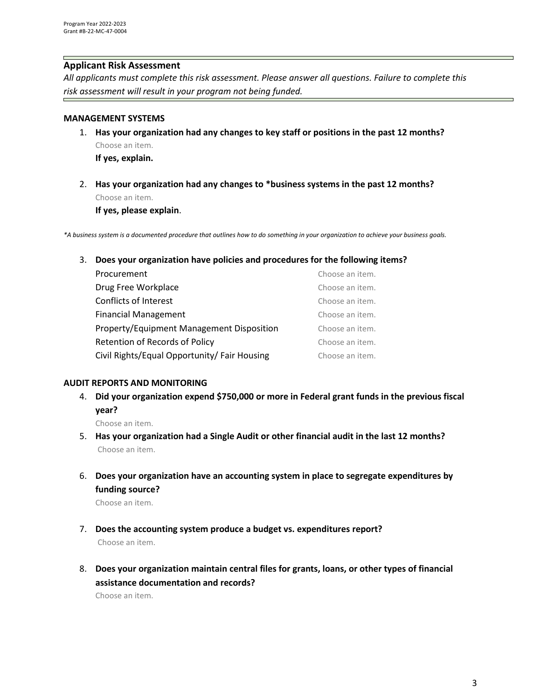## **Applicant Risk Assessment**

*All applicants must complete this risk assessment. Please answer all questions. Failure to complete this risk assessment will result in your program not being funded.*

#### **MANAGEMENT SYSTEMS**

- 1. **Has your organization had any changes to key staff or positions in the past 12 months?** Choose an item. **If yes, explain.**
- 2. **Has your organization had any changes to \*business systems in the past 12 months?** Choose an item.

**If yes, please explain**.

*\*A business system is a documented procedure that outlines how to do something in your organization to achieve your business goals.*

3. **Does your organization have policies and procedures for the following items?**

| Procurement                                  | Choose an item. |
|----------------------------------------------|-----------------|
| Drug Free Workplace                          | Choose an item. |
| Conflicts of Interest                        | Choose an item. |
| <b>Financial Management</b>                  | Choose an item. |
| Property/Equipment Management Disposition    | Choose an item. |
| Retention of Records of Policy               | Choose an item. |
| Civil Rights/Equal Opportunity/ Fair Housing | Choose an item. |

#### **AUDIT REPORTS AND MONITORING**

4. **Did your organization expend \$750,000 or more in Federal grant funds in the previous fiscal year?**

Choose an item.

- 5. **Has your organization had a Single Audit or other financial audit in the last 12 months?** Choose an item.
- 6. **Does your organization have an accounting system in place to segregate expenditures by funding source?**

Choose an item.

- 7. **Does the accounting system produce a budget vs. expenditures report?** Choose an item.
- 8. **Does your organization maintain central files for grants, loans, or other types of financial assistance documentation and records?**

Choose an item.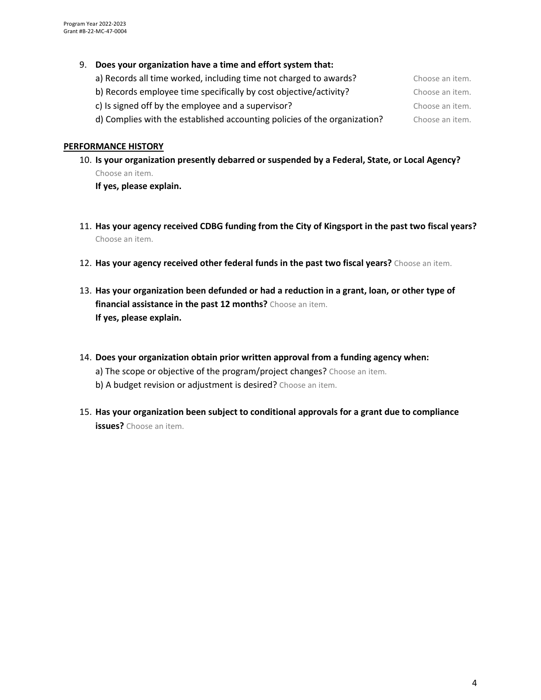#### 9. **Does your organization have a time and effort system that:**

| a) Records all time worked, including time not charged to awards?         | Choose an item. |
|---------------------------------------------------------------------------|-----------------|
| b) Records employee time specifically by cost objective/activity?         | Choose an item. |
| c) Is signed off by the employee and a supervisor?                        | Choose an item. |
| d) Complies with the established accounting policies of the organization? | Choose an item. |

#### **PERFORMANCE HISTORY**

10. **Is your organization presently debarred or suspended by a Federal, State, or Local Agency?** Choose an item.

**If yes, please explain.**

- 11. **Has your agency received CDBG funding from the City of Kingsport in the past two fiscal years?** Choose an item.
- 12. **Has your agency received other federal funds in the past two fiscal years?** Choose an item.
- 13. **Has your organization been defunded or had a reduction in a grant, loan, or other type of financial assistance in the past 12 months?** Choose an item. **If yes, please explain.**
- 14. **Does your organization obtain prior written approval from a funding agency when:** a) The scope or objective of the program/project changes? Choose an item. b) A budget revision or adjustment is desired? Choose an item.
- 15. **Has your organization been subject to conditional approvals for a grant due to compliance issues?** Choose an item.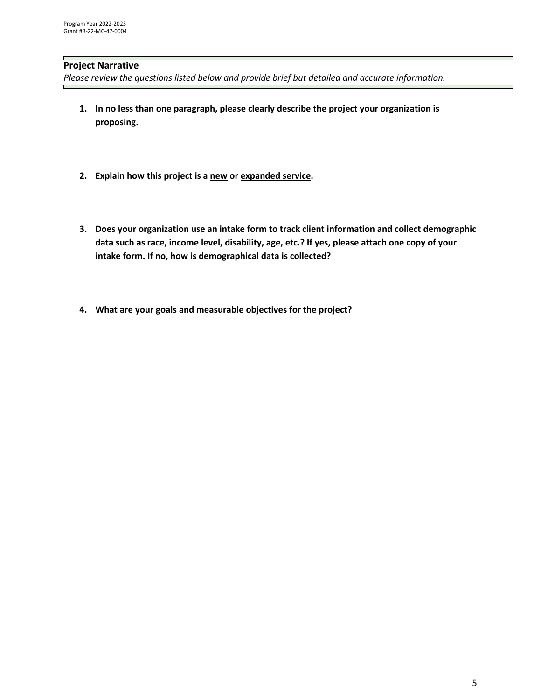# **Project Narrative**

Please review the questions listed below and provide brief but detailed and accurate *information*.

- **1. In no less than one paragraph, please clearly describe the project your organization is proposing.**
- **2. Explain how this project is a new or expanded service.**
- **3. Does your organization use an intake form to track client information and collect demographic data such as race, income level, disability, age, etc.? If yes, please attach one copy of your intake form. If no, how is demographical data is collected?**
- **4. What are your goals and measurable objectives for the project?**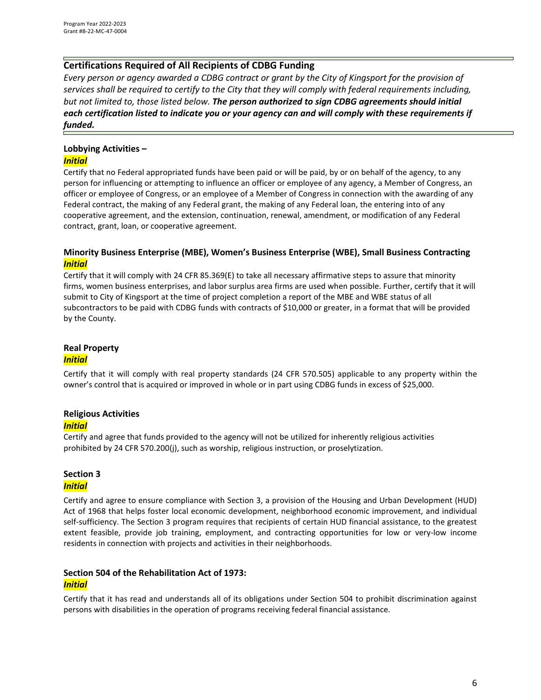## **Certifications Required of All Recipients of CDBG Funding**

*Every person or agency awarded a CDBG contract or grant by the City of Kingsport for the provision of services shall be required to certify to the City that they will comply with federal requirements including, but not limited to, those listed below. The person authorized to sign CDBG agreements should initial each certification listed to indicate you or your agency can and will comply with these requirements if funded.* 

# **Lobbying Activities –**

#### *Initial*

Certify that no Federal appropriated funds have been paid or will be paid, by or on behalf of the agency, to any person for influencing or attempting to influence an officer or employee of any agency, a Member of Congress, an officer or employee of Congress, or an employee of a Member of Congress in connection with the awarding of any Federal contract, the making of any Federal grant, the making of any Federal loan, the entering into of any cooperative agreement, and the extension, continuation, renewal, amendment, or modification of any Federal contract, grant, loan, or cooperative agreement.

#### **Minority Business Enterprise (MBE), Women's Business Enterprise (WBE), Small Business Contracting** *Initial*

Certify that it will comply with 24 CFR 85.369(E) to take all necessary affirmative steps to assure that minority firms, women business enterprises, and labor surplus area firms are used when possible. Further, certify that it will submit to City of Kingsport at the time of project completion a report of the MBE and WBE status of all subcontractors to be paid with CDBG funds with contracts of \$10,000 or greater, in a format that will be provided by the County.

### **Real Property** *Initial*

Certify that it will comply with real property standards (24 CFR 570.505) applicable to any property within the owner's control that is acquired or improved in whole or in part using CDBG funds in excess of \$25,000.

# **Religious Activities**

#### *Initial*

Certify and agree that funds provided to the agency will not be utilized for inherently religious activities prohibited by 24 CFR 570.200(j), such as worship, religious instruction, or proselytization.

# **Section 3**

#### *Initial*

Certify and agree to ensure compliance with Section 3, a provision of the Housing and Urban Development (HUD) Act of 1968 that helps foster local economic development, neighborhood economic improvement, and individual self-sufficiency. The Section 3 program requires that recipients of certain HUD financial assistance, to the greatest extent feasible, provide job training, employment, and contracting opportunities for low or very-low income residents in connection with projects and activities in their neighborhoods.

# **Section 504 of the Rehabilitation Act of 1973:**

#### *Initial*

Certify that it has read and understands all of its obligations under Section 504 to prohibit discrimination against persons with disabilities in the operation of programs receiving federal financial assistance.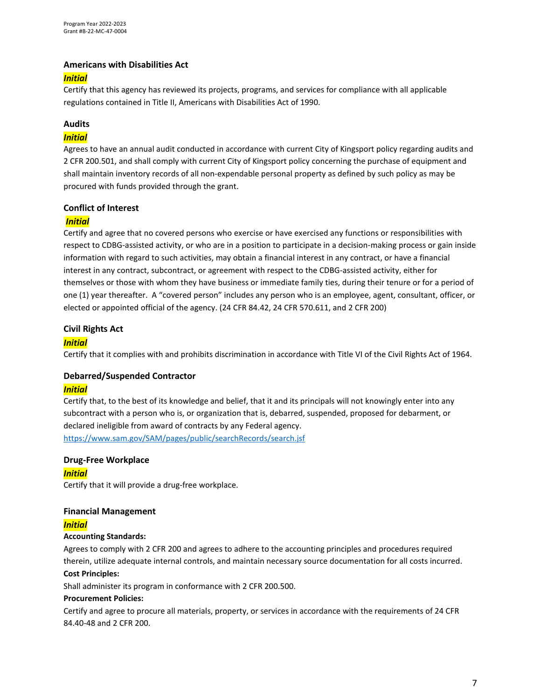#### **Americans with Disabilities Act**

#### *Initial*

Certify that this agency has reviewed its projects, programs, and services for compliance with all applicable regulations contained in Title II, Americans with Disabilities Act of 1990.

#### **Audits**

#### *Initial*

Agrees to have an annual audit conducted in accordance with current City of Kingsport policy regarding audits and 2 CFR 200.501, and shall comply with current City of Kingsport policy concerning the purchase of equipment and shall maintain inventory records of all non-expendable personal property as defined by such policy as may be procured with funds provided through the grant.

#### **Conflict of Interest**

#### *Initial*

Certify and agree that no covered persons who exercise or have exercised any functions or responsibilities with respect to CDBG-assisted activity, or who are in a position to participate in a decision-making process or gain inside information with regard to such activities, may obtain a financial interest in any contract, or have a financial interest in any contract, subcontract, or agreement with respect to the CDBG-assisted activity, either for themselves or those with whom they have business or immediate family ties, during their tenure or for a period of one (1) year thereafter. A "covered person" includes any person who is an employee, agent, consultant, officer, or elected or appointed official of the agency. (24 CFR 84.42, 24 CFR 570.611, and 2 CFR 200)

#### **Civil Rights Act**

#### *Initial*

Certify that it complies with and prohibits discrimination in accordance with Title VI of the Civil Rights Act of 1964.

#### **Debarred/Suspended Contractor**

#### *Initial*

Certify that, to the best of its knowledge and belief, that it and its principals will not knowingly enter into any subcontract with a person who is, or organization that is, debarred, suspended, proposed for debarment, or declared ineligible from award of contracts by any Federal agency. <https://www.sam.gov/SAM/pages/public/searchRecords/search.jsf>

#### **Drug-Free Workplace**

*Initial*

Certify that it will provide a drug-free workplace.

#### **Financial Management**

#### *Initial*

#### **Accounting Standards:**

Agrees to comply with 2 CFR 200 and agrees to adhere to the accounting principles and procedures required therein, utilize adequate internal controls, and maintain necessary source documentation for all costs incurred.

#### **Cost Principles:**

Shall administer its program in conformance with 2 CFR 200.500.

### **Procurement Policies:**

Certify and agree to procure all materials, property, or services in accordance with the requirements of 24 CFR 84.40-48 and 2 CFR 200.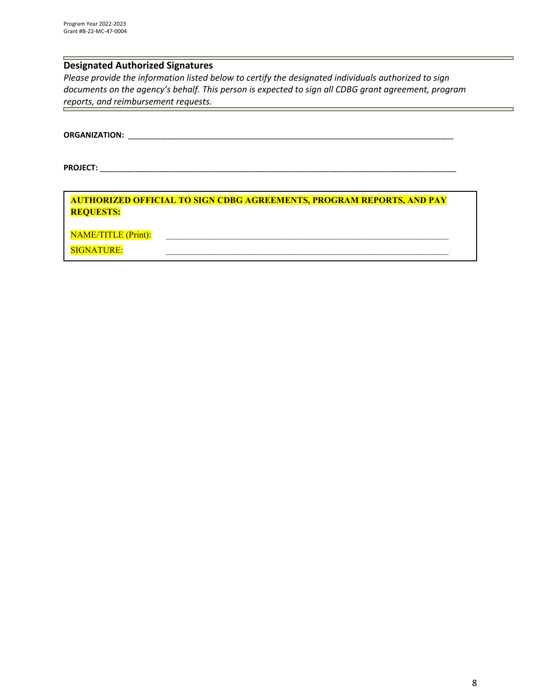# **Designated Authorized Signatures**

*Please provide the information listed below to certify the designated individuals authorized to sign documents on the agency's behalf. This person is expected to sign all CDBG grant agreement, program reports, and reimbursement requests.* 

**ORGANIZATION:** \_\_\_\_\_\_\_\_\_\_\_\_\_\_\_\_\_\_\_\_\_\_\_\_\_\_\_\_\_\_\_\_\_\_\_\_\_\_\_\_\_\_\_\_\_\_\_\_\_\_\_\_\_\_\_\_\_\_\_\_\_\_\_\_\_\_\_\_\_\_\_\_\_\_

**PROJECT:** \_\_\_\_\_\_\_\_\_\_\_\_\_\_\_\_\_\_\_\_\_\_\_\_\_\_\_\_\_\_\_\_\_\_\_\_\_\_\_\_\_\_\_\_\_\_\_\_\_\_\_\_\_\_\_\_\_\_\_\_\_\_\_\_\_\_\_\_\_\_\_\_\_\_\_\_\_\_\_\_\_

**AUTHORIZED OFFICIAL TO SIGN CDBG AGREEMENTS, PROGRAM REPORTS, AND PAY REQUESTS:** NAME/TITLE (Print): \_\_\_\_\_\_\_\_\_\_\_\_\_\_\_\_\_\_\_\_\_\_\_\_\_\_\_\_\_\_\_\_\_\_\_\_\_\_\_\_\_\_\_\_\_\_\_\_\_\_\_\_\_\_\_\_\_\_\_\_\_\_\_\_

SIGNATURE: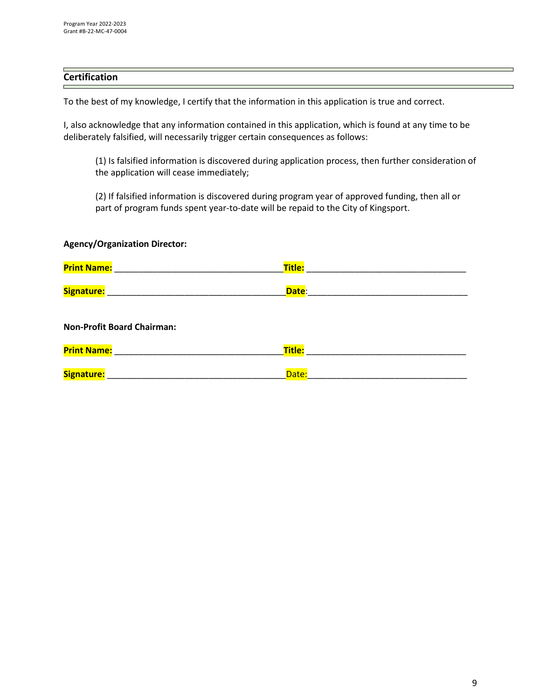# **Certification**

To the best of my knowledge, I certify that the information in this application is true and correct.

I, also acknowledge that any information contained in this application, which is found at any time to be deliberately falsified, will necessarily trigger certain consequences as follows:

(1) Is falsified information is discovered during application process, then further consideration of the application will cease immediately;

(2) If falsified information is discovered during program year of approved funding, then all or part of program funds spent year-to-date will be repaid to the City of Kingsport.

| <b>Agency/Organization Director:</b>                                                                          |        |  |
|---------------------------------------------------------------------------------------------------------------|--------|--|
| Print Name: 2008 2010 2020 2021 2021 2022 2023 2024 2022 2023 2024 2022 2023 2024 2022 2023 2024 2025 2026 20 | Title: |  |
| Signature: William Signature:                                                                                 | Date:  |  |
| <b>Non-Profit Board Chairman:</b>                                                                             |        |  |
| <b>Print Name:</b>                                                                                            | Title: |  |
| Signature:                                                                                                    | Date:  |  |